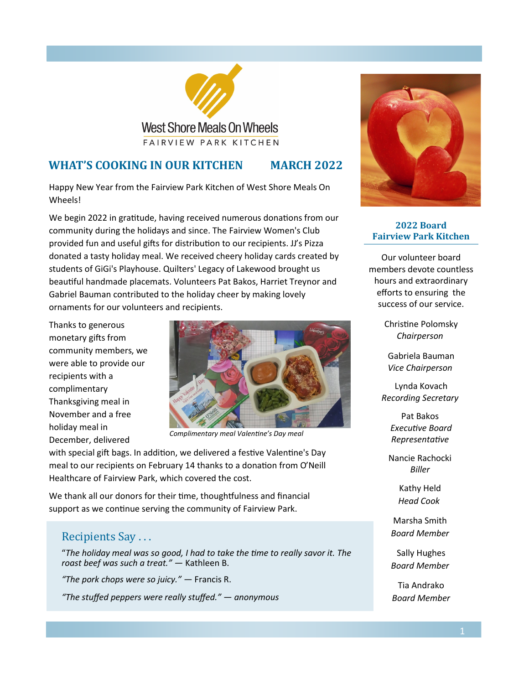

**West Shore Meals On Wheels** FAIRVIEW PARK KITCHEN

## **WHAT'S COOKING IN OUR KITCHEN MARCH 2022**

Happy New Year from the Fairview Park Kitchen of West Shore Meals On

We begin 2022 in gratitude, having received numerous donations from our community during the holidays and since. The Fairview Women's Club provided fun and useful gifts for distribution to our recipients. JJ's Pizza donated a tasty holiday meal. We received cheery holiday cards created by students of GiGi's Playhouse. Quilters' Legacy of Lakewood brought us beautiful handmade placemats. Volunteers Pat Bakos, Harriet Treynor and Gabriel Bauman contributed to the holiday cheer by making lovely ornaments for our volunteers and recipients.

Thanks to generous monetary gifts from community members, we were able to provide our recipients with a complimentary Thanksgiving meal in November and a free holiday meal in December, delivered

Wheels!



*Complimentary meal Valentine's Day meal* 

with special gift bags. In addition, we delivered a festive Valentine's Day meal to our recipients on February 14 thanks to a donation from O'Neill Healthcare of Fairview Park, which covered the cost.

We thank all our donors for their time, thoughtfulness and financial support as we continue serving the community of Fairview Park.

# Recipients Say . . .

"*The holiday meal was so good, I had to take the time to really savor it. The roast beef was such a treat." —* Kathleen B.

*"The pork chops were so juicy." —* Francis R.

*"The stuffed peppers were really stuffed." — anonymous*



#### **2022 Board Fairview Park Kitchen**

Our volunteer board members devote countless hours and extraordinary efforts to ensuring the success of our service.

> Christine Polomsky *Chairperson*

Gabriela Bauman *Vice Chairperson*

Lynda Kovach *Recording Secretary*

> Pat Bakos *Executive Board Representative*

Nancie Rachocki *Biller*

> Kathy Held *Head Cook*

Marsha Smith *Board Member*

Sally Hughes *Board Member*

Tia Andrako *Board Member*